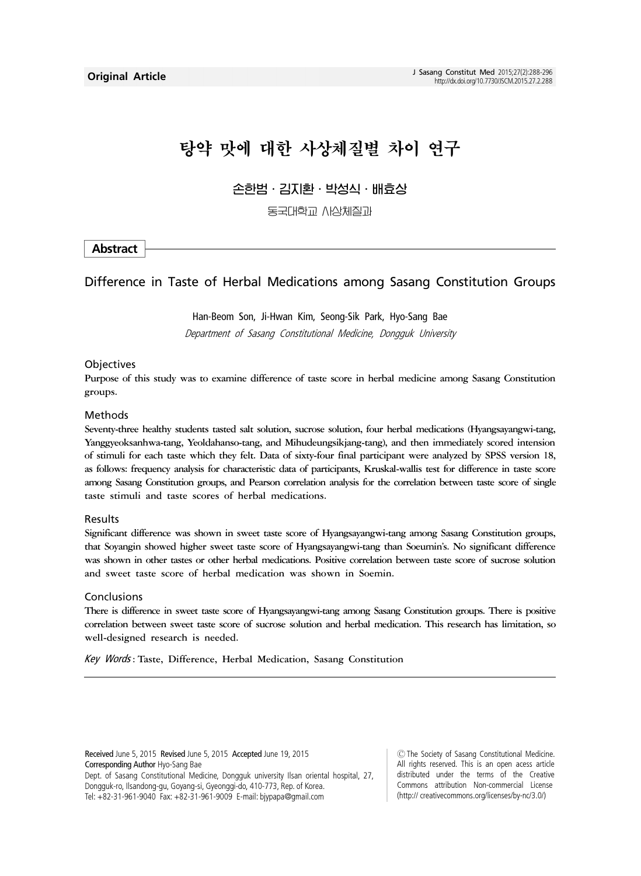# 탕약 맛에 대한 사상체질별 차이 연구

손한범ㆍ김지환ㆍ박성식ㆍ배효상

동국대학교 사상체질과

#### Abstract

#### Difference in Taste of Herbal Medications among Sasang Constitution Groups

Han-Beom Son, Ji-Hwan Kim, Seong-Sik Park, Hyo-Sang Bae Department of Sasang Constitutional Medicine, Dongguk University

#### **Objectives**

Purpose of this study was to examine difference of taste score in herbal medicine among Sasang Constitution groups.

#### Methods

Seventy-three healthy students tasted salt solution, sucrose solution, four herbal medications (Hyangsayangwi-tang, Yanggyeoksanhwa-tang, Yeoldahanso-tang, and Mihudeungsikjang-tang), and then immediately scored intension of stimuli for each taste which they felt. Data of sixty-four final participant were analyzed by SPSS version 18, as follows: frequency analysis for characteristic data of participants, Kruskal-wallis test for difference in taste score among Sasang Constitution groups, and Pearson correlation analysis for the correlation between taste score of single taste stimuli and taste scores of herbal medications.

#### Results

Significant difference was shown in sweet taste score of Hyangsayangwi-tang among Sasang Constitution groups, that Soyangin showed higher sweet taste score of Hyangsayangwi-tang than Soeumin's. No significant difference was shown in other tastes or other herbal medications. Positive correlation between taste score of sucrose solution and sweet taste score of herbal medication was shown in Soemin.

#### Conclusions

There is difference in sweet taste score of Hyangsayangwi-tang among Sasang Constitution groups. There is positive correlation between sweet taste score of sucrose solution and herbal medication. This research has limitation, so well-designed research is needed.

Key Words : Taste, Difference, Herbal Medication, Sasang Constitution

Received June 5, 2015 Revised June 5, 2015 Accepted June 19, 2015 Corresponding Author Hyo-Sang Bae Dept. of Sasang Constitutional Medicine, Dongguk university Ilsan oriental hospital, 27, Dongguk-ro, Ilsandong-gu, Goyang-si, Gyeonggi-do, 410-773, Rep. of Korea. Tel: +82-31-961-9040 Fax: +82-31-961-9009 E-mail: bjypapa@gmail.com

Ⓒ The Society of Sasang Constitutional Medicine. All rights reserved. This is an open acess article distributed under the terms of the Creative Commons attribution Non-commercial License (http:// creativecommons.org/licenses/by-nc/3.0/)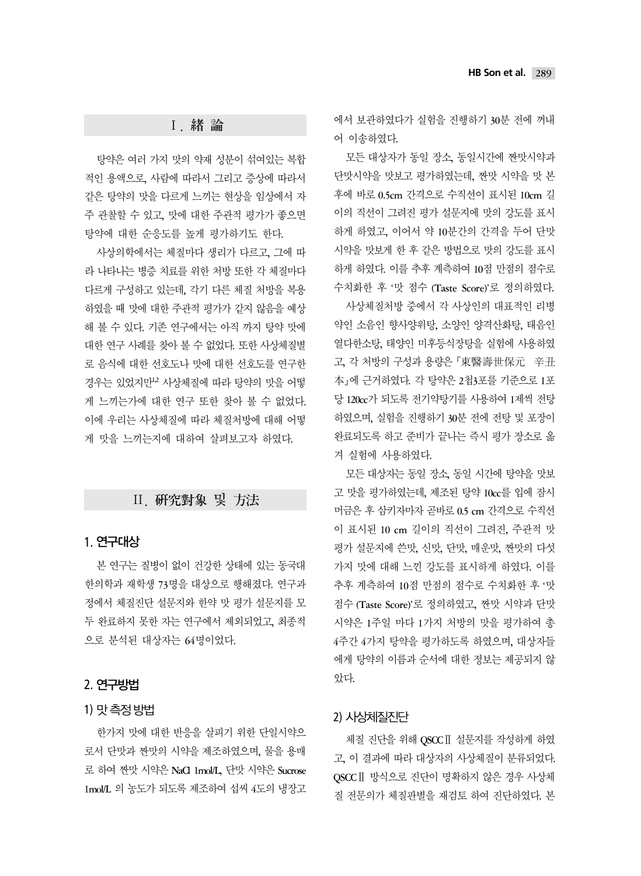#### Ⅰ. 緖 論

탕약은 여러 가지 맛의 약재 성분이 섞여있는 복합 적인 용액으로, 사람에 따라서 그리고 증상에 따라서 같은 탕약의 맛을 다르게 느끼는 현상을 임상에서 자 주 관찰할 수 있고, 맛에 대한 주관적 평가가 좋으면 탕약에 대한 순응도를 높게 평가하기도 한다.

사상의학에서는 체질마다 생리가 다르고, 그에 따 라 나타나는 병증 치료를 위한 처방 또한 각 체질마다 다르게 구성하고 있는데, 각기 다른 체질 처방을 복용 하였을 때 맛에 대한 주관적 평가가 같지 않음을 예상 해 볼 수 있다. 기존 연구에서는 아직 까지 탕약 맛에 대한 연구 사례를 찾아 볼 수 없었다. 또한 사상체질별 로 음식에 대한 선호도나 맛에 대한 선호도를 연구한 경우는 있었지만<sup>12</sup> 사상체질에 따라 탕약의 맛을 어떻 게 느끼는가에 대한 연구 또한 찾아 볼 수 없었다. 이에 우리는 사상체질에 따라 체질처방에 대해 어떻 게 맛을 느끼는지에 대하여 살펴보고자 하였다.

## Ⅱ. 硏究對象 및 方法

## 1.-연구대상

본 연구는 질병이 없이 건강한 상태에 있는 동국대 한의학과 재학생 73명을 대상으로 행해졌다. 연구과 정에서 체질진단 설문지와 한약 맛 평가 설문지를 모 두 완료하지 못한 자는 연구에서 제외되었고, 최종적 으로 분석된 대상자는 64명이었다.

## 2.-연구방법

# 1)-맛 측정 방법

한가지 맛에 대한 반응을 살피기 위한 단일시약으 로서 단맛과 짠맛의 시약을 제조하였으며, 물을 용매 로 하여 짠맛 시약은 NaCl 1mol/L, 단맛 시약은 Sucrose 1mol/L 의 농도가 되도록 제조하여 섭씨 4도의 냉장고 에서 보관하였다가 실험을 진행하기 30분 전에 꺼내 어 이송하였다.

모든 대상자가 동일 장소, 동일시간에 짠맛시약과 단맛시약을 맛보고 평가하였는데, 짠맛 시약을 맛 본 후에 바로 0.5cm 간격으로 수직선이 표시된 10cm 길 이의 직선이 그려진 평가 설문지에 맛의 강도를 표시 하게 하였고, 이어서 약 10분간의 간격을 두어 단맛 시약을 맛보게 한 후 같은 방법으로 맛의 강도를 표시 하게 하였다. 이를 추후 계측하여 10점 만점의 점수로 수치화한 후 '맛 점수 (Taste Score)'로 정의하였다. 사상체질처방 중에서 각 사상인의 대표적인 리병

약인 소음인 향사양위탕, 소양인 양격산화탕, 태음인 열다한소탕, 태양인 미후등식장탕을 실험에 사용하였 고, 각 처방의 구성과 용량은 『東醫壽世保元 辛丑 本에 근거하였다. 각 탕약은 2첩3포를 기준으로 1포 당 120cc가 되도록 전기약탕기를 사용하여 1제씩 전탕 하였으며, 실험을 진행하기 30분 전에 전탕 및 포장이 완료되도록 하고 준비가 끝나는 즉시 평가 장소로 옮 겨 실험에 사용하였다.

모든 대상자는 동일 장소, 동일 시간에 탕약을 맛보 고 맛을 평가하였는데, 제조된 탕약 10cc를 입에 잠시 머금은 후 삼키자마자 곧바로 0.5 cm 간격으로 수직선 이 표시된 10 cm 길이의 직선이 그려진, 주관적 맛 평가 설문지에 쓴맛, 신맛, 단맛, 매운맛, 짠맛의 다섯 가지 맛에 대해 느낀 강도를 표시하게 하였다. 이를 추후 계측하여 10점 만점의 점수로 수치화한 후 '맛 점수 (Taste Score)'로 정의하였고, 짠맛 시약과 단맛 시약은 1주일 마다 1가지 처방의 맛을 평가하여 총 4주간 4가지 탕약을 평가하도록 하였으며, 대상자들 에게 탕약의 이름과 순서에 대한 정보는 제공되지 않 았다.

# 2)-사상체질진단

체질 진단을 위해 QSCCⅡ 설문지를 작성하게 하였 고, 이 결과에 따라 대상자의 사상체질이 분류되었다. QSCCⅡ 방식으로 진단이 명확하지 않은 경우 사상체 질 전문의가 체질판별을 재검토 하여 진단하였다. 본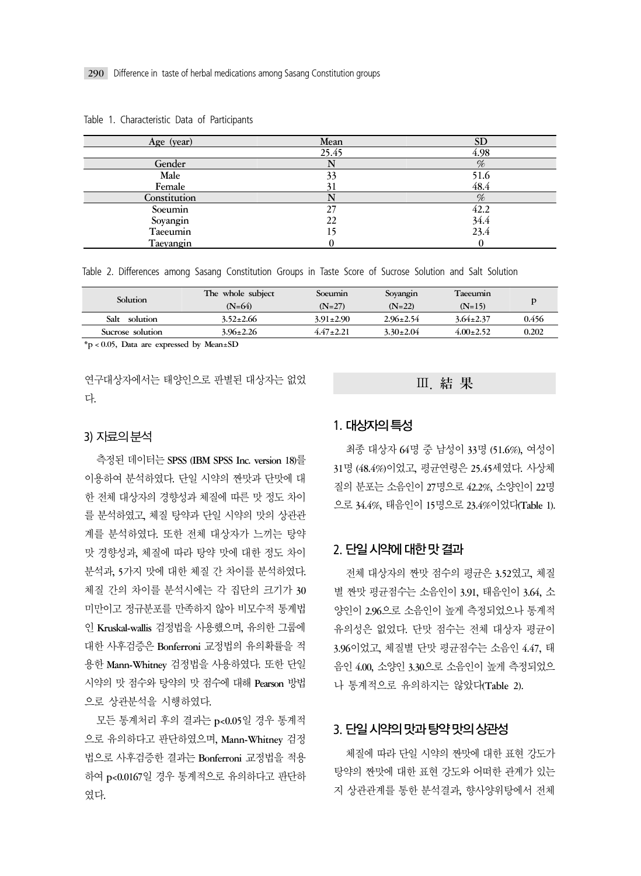| Age (year)   | Mean  | <b>SD</b> |
|--------------|-------|-----------|
|              | 25.45 | 4.98      |
| Gender       |       | %         |
| Male         | 33    | 51.6      |
| Female       |       | 48.4      |
| Constitution |       | %         |
| Soeumin      | 27    | 42.2      |
| Soyangin     | 22    | 34.4      |
| Taeeumin     |       | 23.4      |
| Taeyangin    |       |           |

Table 1. Characteristic Data of Participants

Table 2. Differences among Sasang Constitution Groups in Taste Score of Sucrose Solution and Salt Solution

| Solution         | The whole subject<br>$(N=64)$ | Soeumin<br>$(N=27)$ | Soyangin<br>$(N=22)$ | Taeeumin<br>$(N=15)$ |       |
|------------------|-------------------------------|---------------------|----------------------|----------------------|-------|
| Salt<br>solution | $3.52 \pm 2.66$               | $3.91 \pm 2.90$     | $2.96 \pm 2.54$      | $3.64 \pm 2.37$      | 0.456 |
| Sucrose solution | $3.96 \pm 2.26$               | $4.47 \pm 2.21$     | $3.30\pm2.04$        | $4.00 \pm 2.52$      | 0.202 |

\*p < 0.05, Data are expressed by Mean±SD

연구대상자에서는 태양인으로 판별된 대상자는 없었 다.

# 3)-자료의 분석

측정된 데이터는 SPSS (IBM SPSS Inc. version 18)를 이용하여 분석하였다. 단일 시약의 짠맛과 단맛에 대 한 전체 대상자의 경향성과 체질에 따른 맛 정도 차이 를 분석하였고, 체질 탕약과 단일 시약의 맛의 상관관 계를 분석하였다. 또한 전체 대상자가 느끼는 탕약 맛 경향성과, 체질에 따라 탕약 맛에 대한 정도 차이 분석과, 5가지 맛에 대한 체질 간 차이를 분석하였다. 체질 간의 차이를 분석시에는 각 집단의 크기가 30 미만이고 정규분포를 만족하지 않아 비모수적 통계법 인 Kruskal-wallis 검정법을 사용했으며, 유의한 그룹에 대한 사후검증은 Bonferroni 교정법의 유의확률을 적 용한 Mann-Whitney 검정법을 사용하였다. 또한 단일 시약의 맛 점수와 탕약의 맛 점수에 대해 Pearson 방법 으로 상관분석을 시행하였다.

모든 통계처리 후의 결과는 p<0.05일 경우 통계적 으로 유의하다고 판단하였으며, Mann-Whitney 검정 법으로 사후검증한 결과는 Bonferroni 교정법을 적용 하여 p<0.0167일 경우 통계적으로 유의하다고 판단하 였다.

#### Ⅲ. 結 果

## 1.-대상자의 특성

최종 대상자 64명 중 남성이 33명 (51.6%), 여성이 31명 (48.4%)이었고, 평균연령은 25.45세였다. 사상체 질의 분포는 소음인이 27명으로 42.2%, 소양인이 22명 으로 34.4%, 태음인이 15명으로 23.4%이었다(Table 1).

## 2. 단일 시약에 대한 맛 결과

전체 대상자의 짠맛 점수의 평균은 3.52였고, 체질 별 짠맛 평균점수는 소음인이 3.91, 태음인이 3.64, 소 양인이 2.96으로 소음인이 높게 측정되었으나 통계적 유의성은 없었다. 단맛 점수는 전체 대상자 평균이 3.96이었고, 체질별 단맛 평균점수는 소음인 4.47, 태 음인 4.00, 소양인 3.30으로 소음인이 높게 측정되었으 나 통계적으로 유의하지는 않았다(Table 2).

## 3.-단일 시약의 맛과 탕약 맛의 상관성

체질에 따라 단일 시약의 짠맛에 대한 표현 강도가 탕약의 짠맛에 대한 표현 강도와 어떠한 관계가 있는 지 상관관계를 통한 분석결과, 향사양위탕에서 전체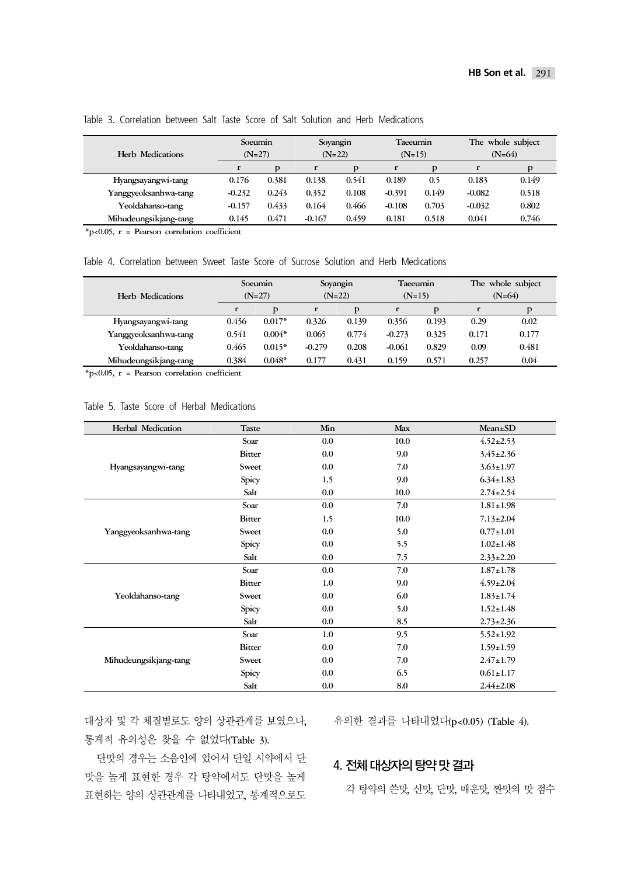| Herb Medications      | Soeumin<br>$(N=27)$ |       |          | Soyangin<br>$(N=22)$ |          | <b>Taeeumin</b><br>$(N=15)$ |          | The whole subject<br>$(N=64)$ |  |
|-----------------------|---------------------|-------|----------|----------------------|----------|-----------------------------|----------|-------------------------------|--|
|                       | r                   | D     | r        | D                    | r        | Þ                           |          | Þ                             |  |
| Hyangsayangwi-tang    | 0.176               | 0.381 | 0.138    | 0.541                | 0.189    | 0.5                         | 0.183    | 0.149                         |  |
| Yanggyeoksanhwa-tang  | $-0.232$            | 0.243 | 0.352    | 0.108                | $-0.391$ | 0.149                       | $-0.082$ | 0.518                         |  |
| Yeoldahanso-tang      | $-0.157$            | 0.433 | 0.164    | 0.466                | $-0.108$ | 0.703                       | $-0.032$ | 0.802                         |  |
| Mihudeungsikjang-tang | 0.145               | 0.471 | $-0.167$ | 0.459                | 0.181    | 0.518                       | 0.041    | 0.746                         |  |

#### Table 3. Correlation between Salt Taste Score of Salt Solution and Herb Medications

\*p<0.05, r = Pearson correlation coefficient

Table 4. Correlation between Sweet Taste Score of Sucrose Solution and Herb Medications

|       |          |          |          |          |          |          | The whole subject |  |
|-------|----------|----------|----------|----------|----------|----------|-------------------|--|
|       | $(N=27)$ |          | $(N=22)$ |          | $(N=15)$ |          | $(N=64)$          |  |
| r     | Þ        | r        | Þ        | r        |          |          |                   |  |
| 0.456 | $0.017*$ | 0.326    | 0.139    | 0.356    | 0.193    | 0.29     | 0.02              |  |
| 0.541 | $0.004*$ | 0.065    | 0.774    | $-0.273$ | 0.325    | 0.171    | 0.177             |  |
| 0.465 | $0.015*$ | $-0.279$ | 0.208    | $-0.061$ | 0.829    | 0.09     | 0.481             |  |
| 0.384 | $0.048*$ | 0.177    | 0.431    | 0.159    | 0.571    | 0.257    | 0.04              |  |
|       |          | Soeumin  |          | Soyangin |          | Taeeumin |                   |  |

\*p<0.05, r = Pearson correlation coefficient

#### Table 5. Taste Score of Herbal Medications

| Herbal Medication     | <b>Taste</b>  | Min     | Max  | $Mean \pm SD$   |
|-----------------------|---------------|---------|------|-----------------|
|                       | Soar          | 0.0     | 10.0 | $4.52 \pm 2.53$ |
|                       | <b>Bitter</b> | 0.0     | 9.0  | $3.45 \pm 2.36$ |
| Hyangsayangwi-tang    | Sweet         | 0.0     | 7.0  | $3.63 \pm 1.97$ |
|                       | Spicy         | 1.5     | 9.0  | $6.34 \pm 1.83$ |
|                       | Salt          | 0.0     | 10.0 | $2.74 \pm 2.54$ |
|                       | Soar          | 0.0     | 7.0  | $1.81 \pm 1.98$ |
|                       | <b>Bitter</b> | 1.5     | 10.0 | $7.13 \pm 2.04$ |
| Yanggyeoksanhwa-tang  | Sweet         | 0.0     | 5.0  | $0.77 \pm 1.01$ |
|                       | Spicy         | 0.0     | 5.5  | $1.02 \pm 1.48$ |
|                       | Salt          | $0.0\,$ | 7.5  | $2.33 \pm 2.20$ |
|                       | Soar          | 0.0     | 7.0  | $1.87 \pm 1.78$ |
|                       | <b>Bitter</b> | 1.0     | 9.0  | $4.59 \pm 2.04$ |
| Yeoldahanso-tang      | Sweet         | 0.0     | 6.0  | $1.83 \pm 1.74$ |
|                       | Spicy         | 0.0     | 5.0  | $1.52 \pm 1.48$ |
|                       | Salt          | $0.0\,$ | 8.5  | $2.73 \pm 2.36$ |
|                       | Soar          | 1.0     | 9.5  | $5.52 \pm 1.92$ |
|                       | <b>Bitter</b> | 0.0     | 7.0  | $1.59 \pm 1.59$ |
| Mihudeungsikjang-tang | Sweet         | 0.0     | 7.0  | $2.47 \pm 1.79$ |
|                       | Spicy         | 0.0     | 6.5  | $0.61 \pm 1.17$ |
|                       | Salt          | 0.0     | 8.0  | $2.44 \pm 2.08$ |

대상자 및 각 체질별로도 양의 상관관계를 보였으나, 유의한 결과를 나타내었다(p<0.05) (Table 4). 통계적 유의성은 찾을 수 없었다(Table 3).

단맛의 경우는 소음인에 있어서 단일 시약에서 단 맛을 높게 표현한 경우 각 탕약에서도 단맛을 높게 표현하는 양의 상관관계를 나타내었고, 통계적으로도

## 4. 전체 대상자의 탕<mark>약 맛 결과</mark>

각 탕약의 쓴맛, 신맛, 단맛, 매운맛, 짠맛의 맛 점수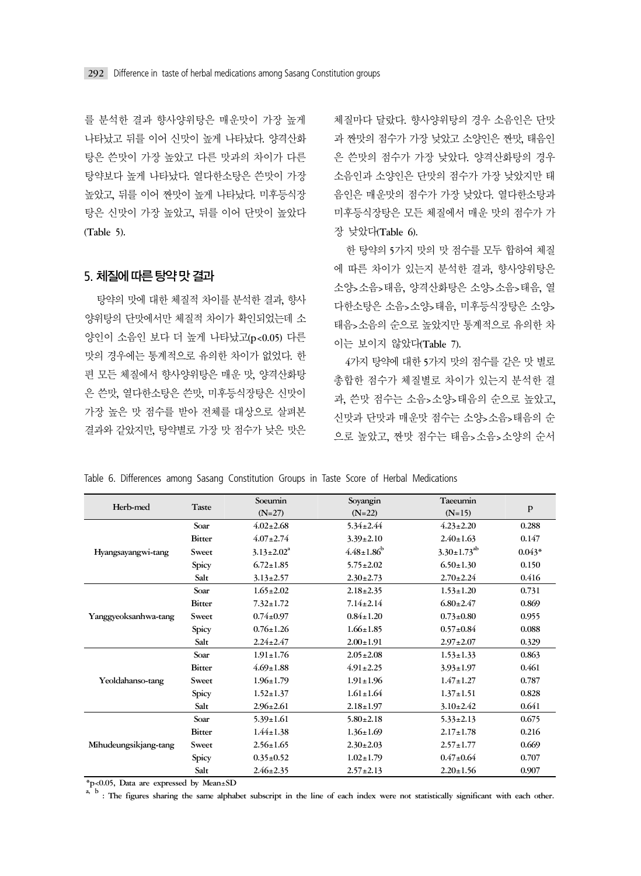를 분석한 결과 향사양위탕은 매운맛이 가장 높게 나타났고 뒤를 이어 신맛이 높게 나타났다. 양격산화 탕은 쓴맛이 가장 높았고 다른 맛과의 차이가 다른 탕약보다 높게 나타났다. 열다한소탕은 쓴맛이 가장 높았고, 뒤를 이어 짠맛이 높게 나타났다. 미후등식장 탕은 신맛이 가장 높았고, 뒤를 이어 단맛이 높았다 (Table 5).

## 5.-체질에 따른 탕약 맛 결과

탕약의 맛에 대한 체질적 차이를 분석한 결과, 향사 양위탕의 단맛에서만 체질적 차이가 확인되었는데 소 양인이 소음인 보다 더 높게 나타났고(p<0.05) 다른 맛의 경우에는 통계적으로 유의한 차이가 없었다. 한 편 모든 체질에서 향사양위탕은 매운 맛, 양격산화탕 은 쓴맛, 열다한소탕은 쓴맛, 미후등식장탕은 신맛이 가장 높은 맛 점수를 받아 전체를 대상으로 살펴본 결과와 같았지만, 탕약별로 가장 맛 점수가 낮은 맛은 체질마다 달랐다. 향사양위탕의 경우 소음인은 단맛 과 짠맛의 점수가 가장 낮았고 소양인은 짠맛, 태음인 은 쓴맛의 점수가 가장 낮았다. 양격산화탕의 경우 소음인과 소양인은 단맛의 점수가 가장 낮았지만 태 음인은 매운맛의 점수가 가장 낮았다. 열다한소탕과 미후등식장탕은 모든 체질에서 매운 맛의 점수가 가 장 낮았다(Table 6).

한 탕약의 5가지 맛의 맛 점수를 모두 합하여 체질 에 따른 차이가 있는지 분석한 결과, 향사양위탕은 소양>소음>태음, 양격산화탕은 소양>소음>태음, 열 다한소탕은 소음>소양>태음, 미후등식장탕은 소양> 태음>소음의 순으로 높았지만 통계적으로 유의한 차 이는 보이지 않았다(Table 7).

4가지 탕약에 대한 5가지 맛의 점수를 같은 맛 별로 총합한 점수가 체질별로 차이가 있는지 분석한 결 과, 쓴맛 점수는 소음>소양>태음의 순으로 높았고, 신맛과 단맛과 매운맛 점수는 소양>소음>태음의 순 으로 높았고, 짠맛 점수는 태음>소음>소양의 순서

Table 6. Differences among Sasang Constitution Groups in Taste Score of Herbal Medications

|                       |               | Soeumin           | Soyangin                     | Taeeumin             |              |
|-----------------------|---------------|-------------------|------------------------------|----------------------|--------------|
| Herb-med              | Taste         | $(N=27)$          | $(N=22)$                     | $(N=15)$             | $\mathbf{p}$ |
|                       | Soar          | $4.02 + 2.68$     | $5.34 \pm 2.44$              | $4.23 \pm 2.20$      | 0.288        |
|                       | <b>Bitter</b> | $4.07 \pm 2.74$   | $3.39 \pm 2.10$              | $2.40 \pm 1.63$      | 0.147        |
| Hyangsayangwi-tang    | Sweet         | $3.13 \pm 2.02^a$ | $4.48 \pm 1.86$ <sup>b</sup> | $3.30 \pm 1.73^{ab}$ | $0.043*$     |
|                       | Spicy         | $6.72 \pm 1.85$   | $5.75 \pm 2.02$              | $6.50 \pm 1.30$      | 0.150        |
|                       | Salt          | $3.13 \pm 2.57$   | $2.30 \pm 2.73$              | $2.70 \pm 2.24$      | 0.416        |
|                       | Soar          | $1.65 \pm 2.02$   | $2.18 \pm 2.35$              | $1.53 \pm 1.20$      | 0.731        |
|                       | <b>Bitter</b> | $7.32 \pm 1.72$   | $7.14 \pm 2.14$              | $6.80 \pm 2.47$      | 0.869        |
| Yanggyeoksanhwa-tang  | Sweet         | $0.74 \pm 0.97$   | $0.84 \pm 1.20$              | $0.73 \pm 0.80$      | 0.955        |
|                       | Spicy         | $0.76 \pm 1.26$   | $1.66 \pm 1.85$              | $0.57 \pm 0.84$      | 0.088        |
|                       | Salt          | $2.24 \pm 2.47$   | $2.00 \pm 1.91$              | $2.97 \pm 2.07$      | 0.329        |
|                       | Soar          | $1.91 \pm 1.76$   | $2.05 \pm 2.08$              | $1.53 \pm 1.33$      | 0.863        |
|                       | <b>Bitter</b> | $4.69 \pm 1.88$   | $4.91 \pm 2.25$              | $3.93 \pm 1.97$      | 0.461        |
| Yeoldahanso-tang      | Sweet         | $1.96 \pm 1.79$   | $1.91 \pm 1.96$              | $1.47 \pm 1.27$      | 0.787        |
|                       | Spicy         | $1.52 \pm 1.37$   | $1.61 \pm 1.64$              | $1.37 \pm 1.51$      | 0.828        |
|                       | Salt          | $2.96 \pm 2.61$   | $2.18 \pm 1.97$              | $3.10 \pm 2.42$      | 0.641        |
|                       | Soar          | $5.39 \pm 1.61$   | $5.80 \pm 2.18$              | $5.33 \pm 2.13$      | 0.675        |
| Mihudeungsikjang-tang | <b>Bitter</b> | $1.44 \pm 1.38$   | $1.36 \pm 1.69$              | $2.17 \pm 1.78$      | 0.216        |
|                       | Sweet         | $2.56 \pm 1.65$   | $2.30 \pm 2.03$              | $2.57 \pm 1.77$      | 0.669        |
|                       | Spicy         | $0.35 \pm 0.52$   | $1.02 \pm 1.79$              | $0.47 + 0.64$        | 0.707        |
|                       | Salt          | $2.46 \pm 2.35$   | $2.57 \pm 2.13$              | $2.20 \pm 1.56$      | 0.907        |

\*p<0.05, Data are expressed by Mean±SD a, b : The figures sharing the same alphabet subscript in the line of each index were not statistically significant with each other.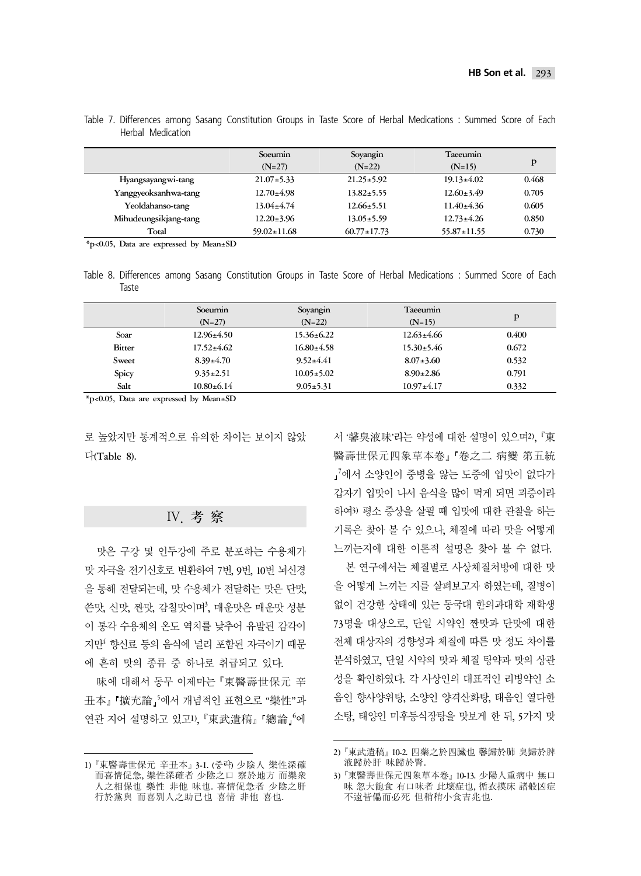|                       | Soeumin<br>$(N=27)$ | Soyangin<br>$(N=22)$ | Taeeumin<br>$(N=15)$ | Þ     |
|-----------------------|---------------------|----------------------|----------------------|-------|
| Hyangsayangwi-tang    | $21.07 \pm 5.33$    | $21.25 \pm 5.92$     | $19.13 \pm 4.02$     | 0.468 |
| Yanggyeoksanhwa-tang  | $12.70 \pm 4.98$    | $13.82 \pm 5.55$     | $12.60 \pm 3.49$     | 0.705 |
| Yeoldahanso-tang      | $13.04 \pm 4.74$    | $12.66 \pm 5.51$     | $11.40 \pm 4.36$     | 0.605 |
| Mihudeungsikjang-tang | $12.20 \pm 3.96$    | $13.05 \pm 5.59$     | $12.73 \pm 4.26$     | 0.850 |
| Total                 | $59.02 \pm 11.68$   | $60.77 \pm 17.73$    | $55.87 \pm 11.55$    | 0.730 |

Table 7. Differences among Sasang Constitution Groups in Taste Score of Herbal Medications : Summed Score of Each Herbal Medication

\*p<0.05, Data are expressed by Mean±SD

Table 8. Differences among Sasang Constitution Groups in Taste Score of Herbal Medications : Summed Score of Each Taste

|        | Soeumin          | Soyangin         | Taeeumin         |       |
|--------|------------------|------------------|------------------|-------|
|        | $(N=27)$         | $(N=22)$         | $(N=15)$         | Þ     |
| Soar   | $12.96 \pm 4.50$ | $15.36 \pm 6.22$ | $12.63 \pm 4.66$ | 0.400 |
| Bitter | $17.52 \pm 4.62$ | $16.80 \pm 4.58$ | $15.30 \pm 5.46$ | 0.672 |
| Sweet  | $8.39 \pm 4.70$  | $9.52 \pm 4.41$  | $8.07 \pm 3.60$  | 0.532 |
| Spicy  | $9.35 \pm 2.51$  | $10.05 \pm 5.02$ | $8.90 \pm 2.86$  | 0.791 |
| Salt   | $10.80 + 6.14$   | $9.05 \pm 5.31$  | $10.97 + 4.17$   | 0.332 |

\*p<0.05, Data are expressed by Mean±SD

로 높았지만 통계적으로 유의한 차이는 보이지 않았 다(Table 8).

#### Ⅳ. 考 察

맛은 구강 및 인두강에 주로 분포하는 수용체가 맛 자극을 전기신호로 변환하여 7번, 9번, 10번 뇌신경 을 통해 전달되는데, 맛 수용체가 전달하는 맛은 단맛, 쓴맛, 신맛, 짠맛, 감칠맛이며', 매운맛은 매운맛 성분 이 통각 수용체의 온도 역치를 낮추어 유발된 감각이 지만<sup>4</sup> 향신료 등의 음식에 널리 포함된 자극이기 때문 에 흔히 맛의 종류 중 하나로 취급되고 있다.

味에 대해서 동무 이제마는 『東醫壽世保元 辛 丑本』 '擴充論」이서 개념적인 표현으로 "樂性"과 연관 지어 설명하고 있고1), 『東武遺稿』 照論 』에

서 '馨臭液味'라는 약성에 대한 설명이 있으며2), 『東 醫壽世保元四象草本卷』「卷之二 病變 第五統 7 에서 소양인이 중병을 앓는 도중에 입맛이 없다가 갑자기 입맛이 나서 음식을 많이 먹게 되면 괴증이라 하여3) 평소 증상을 살필 때 입맛에 대한 관찰을 하는 기록은 찾아 볼 수 있으나, 체질에 따라 맛을 어떻게 느끼는지에 대한 이론적 설명은 찾아 볼 수 없다.

본 연구에서는 체질별로 사상체질처방에 대한 맛 을 어떻게 느끼는 지를 살펴보고자 하였는데, 질병이 없이 건강한 상태에 있는 동국대 한의과대학 재학생 73명을 대상으로, 단일 시약인 짠맛과 단맛에 대한 전체 대상자의 경향성과 체질에 따른 맛 정도 차이를 분석하였고, 단일 시약의 맛과 체질 탕약과 맛의 상관 성을 확인하였다. 각 사상인의 대표적인 리병약인 소 음인 향사양위탕, 소양인 양격산화탕, 태음인 열다한 소탕, 태양인 미후등식장탕을 맛보게 한 뒤, 5가지 맛

<sup>1) 『</sup>東醫壽世保元 辛丑本』 3-1. (중략) 少陰人 樂性深確 而喜情促急, 樂性深確者 少陰之口 察於地方 而樂衆 人之相保也 樂性 非他 味也. 喜情促急者 少陰之肝 行於黨與 而喜別人之助己也 喜情 非他 喜也.

<sup>2) 『</sup>東武遺稿』 10-2. 四藥之於四臟也 馨歸於肺 臭歸於脾 液歸於肝 味歸於腎.

<sup>3) 『</sup>東醫壽世保元四象草本卷』 10-13. 少陽人重病中 無口 味 忽大飽食 有口味者 此壞症也, 循衣摸床 諸般凶症 不遠皆偏而必死 但稍稍小食吉兆也.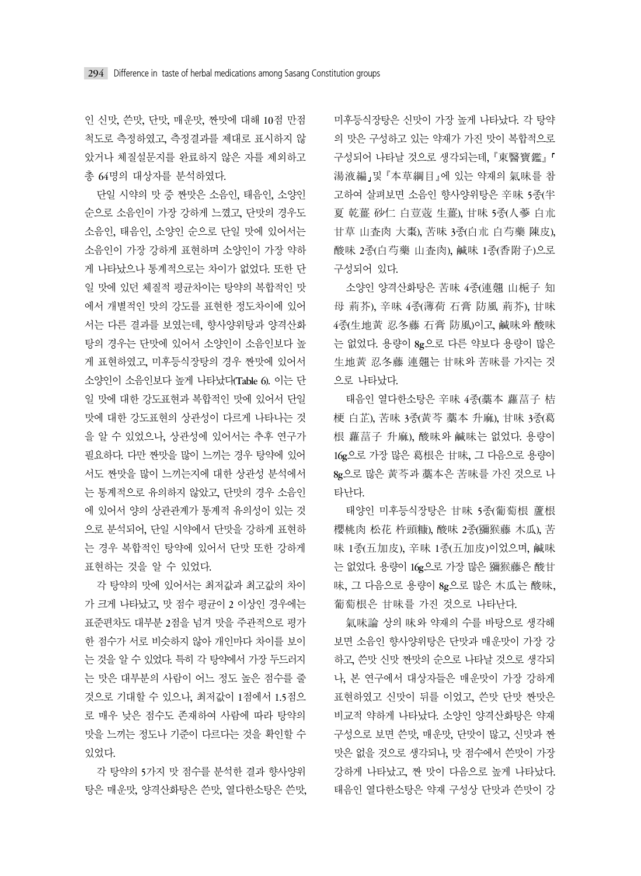인 신맛, 쓴맛, 단맛, 매운맛, 짠맛에 대해 10점 만점 척도로 측정하였고, 측정결과를 제대로 표시하지 않 았거나 체질설문지를 완료하지 않은 자를 제외하고 총 64명의 대상자를 분석하였다.

단일 시약의 맛 중 짠맛은 소음인, 태음인, 소양인 순으로 소음인이 가장 강하게 느꼈고, 단맛의 경우도 소음인, 태음인, 소양인 순으로 단일 맛에 있어서는 소음인이 가장 강하게 표현하며 소양인이 가장 약하 게 나타났으나 통계적으로는 차이가 없었다. 또한 단 일 맛에 있던 체질적 평균차이는 탕약의 복합적인 맛 에서 개별적인 맛의 강도를 표현한 정도차이에 있어 서는 다른 결과를 보였는데, 향사양위탕과 양격산화 탕의 경우는 단맛에 있어서 소양인이 소음인보다 높 게 표현하였고, 미후등식장탕의 경우 짠맛에 있어서 소양인이 소음인보다 높게 나타났다(Table 6). 이는 단 일 맛에 대한 강도표현과 복합적인 맛에 있어서 단일 맛에 대한 강도표현의 상관성이 다르게 나타나는 것 을 알 수 있었으나, 상관성에 있어서는 추후 연구가 필요하다. 다만 짠맛을 많이 느끼는 경우 탕약에 있어 서도 짠맛을 많이 느끼는지에 대한 상관성 분석에서 는 통계적으로 유의하지 않았고, 단맛의 경우 소음인 에 있어서 양의 상관관계가 통계적 유의성이 있는 것 으로 분석되어, 단일 시약에서 단맛을 강하게 표현하 는 경우 복합적인 탕약에 있어서 단맛 또한 강하게 표현하는 것을 알 수 있었다.

각 탕약의 맛에 있어서는 최저값과 최고값의 차이 가 크게 나타났고, 맛 점수 평균이 2 이상인 경우에는 표준편차도 대부분 2점을 넘겨 맛을 주관적으로 평가 한 점수가 서로 비슷하지 않아 개인마다 차이를 보이 는 것을 알 수 있었다. 특히 각 탕약에서 가장 두드러지 는 맛은 대부분의 사람이 어느 정도 높은 점수를 줄 것으로 기대할 수 있으나, 최저값이 1점에서 1.5점으 로 매우 낮은 점수도 존재하여 사람에 따라 탕약의 맛을 느끼는 정도나 기준이 다르다는 것을 확인할 수 있었다.

각 탕약의 5가지 맛 점수를 분석한 결과 향사양위 탕은 매운맛, 양격산화탕은 쓴맛, 열다한소탕은 쓴맛, 미후등식장탕은 신맛이 가장 높게 나타났다. 각 탕약 의 맛은 구성하고 있는 약재가 가진 맛이 복합적으로 구성되어 나타날 것으로 생각되는데, 『東醫寶鑑』 湯液編』및 『本草綱目』에 있는 약재의 氣味를 참 고하여 살펴보면 소음인 향사양위탕은 辛味 5종(半 夏 乾薑 砂仁 白荳蔲 生薑), 甘味 5종(人蔘 白朮 甘草 山査肉 大棗), 苦味 3종(白朮 白芍藥 陳皮), 酸味 2종(白芍藥 山査肉), 鹹味 1종(香附子)으로 구성되어 있다.

소양인 양격산화탕은 苦味 4종(連翹 山梔子 知 母 荊芥), 辛味 4종(薄荷 石膏 防風 荊芥), 甘味 4종(生地黃 忍冬藤 石膏 防風)이고, 鹹味와 酸味 는 없었다. 용량이 8g으로 다른 약보다 용량이 많은 生地黃 忍冬藤 連翹는 甘味와 苦味를 가지는 것 으로 나타났다.

태음인 열다한소탕은 辛味 4종(藁本 蘿葍子 桔 梗 白芷), 苦味 3종(黃芩 藁本 升麻), 甘味 3종(葛 根 蘿葍子 升麻), 酸味와 鹹味는 없었다. 용량이 16g으로 가장 많은 葛根은 甘味, 그 다음으로 용량이 8g으로 많은 黃芩과 藁本은 苦味를 가진 것으로 나 타난다.

태양인 미후등식장탕은 甘味 5종(葡萄根 蘆根 櫻桃肉 松花 杵頭糠), 酸味 2종(獼猴藤 木瓜), 苦 味 1종(五加皮), 辛味 1종(五加皮)이었으며, 鹹味 는 없었다. 용량이 16g으로 가장 많은 獼猴藤은 酸甘 味, 그 다음으로 용량이 8g으로 많은 木瓜는 酸味, 葡萄根은 甘味를 가진 것으로 나타난다.

氣味論 상의 味와 약재의 수를 바탕으로 생각해 보면 소음인 향사양위탕은 단맛과 매운맛이 가장 강 하고, 쓴맛 신맛 짠맛의 순으로 나타날 것으로 생각되 나, 본 연구에서 대상자들은 매운맛이 가장 강하게 표현하였고 신맛이 뒤를 이었고, 쓴맛 단맛 짠맛은 비교적 약하게 나타났다. 소양인 양격산화탕은 약재 구성으로 보면 쓴맛, 매운맛, 단맛이 많고, 신맛과 짠 맛은 없을 것으로 생각되나, 맛 점수에서 쓴맛이 가장 강하게 나타났고, 짠 맛이 다음으로 높게 나타났다. 태음인 열다한소탕은 약재 구성상 단맛과 쓴맛이 강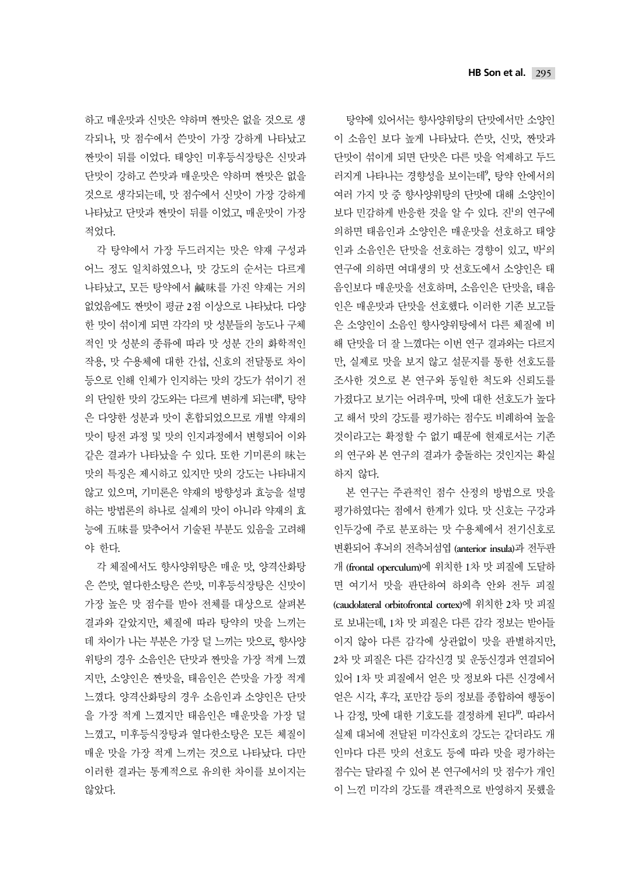하고 매운맛과 신맛은 약하며 짠맛은 없을 것으로 생 각되나, 맛 점수에서 쓴맛이 가장 강하게 나타났고 짠맛이 뒤를 이었다. 태양인 미후등식장탕은 신맛과 단맛이 강하고 쓴맛과 매운맛은 약하며 짠맛은 없을 것으로 생각되는데, 맛 점수에서 신맛이 가장 강하게 나타났고 단맛과 짠맛이 뒤를 이었고, 매운맛이 가장 적었다.

각 탕약에서 가장 두드러지는 맛은 약재 구성과 어느 정도 일치하였으나, 맛 강도의 순서는 다르게 나타났고, 모든 탕약에서 鹹味를 가진 약재는 거의 없었음에도 짠맛이 평균 2점 이상으로 나타났다. 다양 한 맛이 섞이게 되면 각각의 맛 성분들의 농도나 구체 적인 맛 성분의 종류에 따라 맛 성분 간의 화학적인 작용, 맛 수용체에 대한 간섭, 신호의 전달통로 차이 등으로 인해 인체가 인지하는 맛의 강도가 섞이기 전 의 단일한 맛의 강도와는 다르게 변하게 되는데, 당약 은 다양한 성분과 맛이 혼합되었으므로 개별 약재의 맛이 탕전 과정 및 맛의 인지과정에서 변형되어 이와 같은 결과가 나타났을 수 있다. 또한 기미론의 味는 맛의 특징은 제시하고 있지만 맛의 강도는 나타내지 않고 있으며, 기미론은 약재의 방향성과 효능을 설명 하는 방법론의 하나로 실제의 맛이 아니라 약재의 효 능에 五味를 맞추어서 기술된 부분도 있음을 고려해 야 한다.

각 체질에서도 향사양위탕은 매운 맛, 양격산화탕 은 쓴맛, 열다한소탕은 쓴맛, 미후등식장탕은 신맛이 가장 높은 맛 점수를 받아 전체를 대상으로 살펴본 결과와 같았지만, 체질에 따라 탕약의 맛을 느끼는 데 차이가 나는 부분은 가장 덜 느끼는 맛으로, 향사양 위탕의 경우 소음인은 단맛과 짠맛을 가장 적게 느꼈 지만, 소양인은 짠맛을, 태음인은 쓴맛을 가장 적게 느꼈다. 양격산화탕의 경우 소음인과 소양인은 단맛 을 가장 적게 느꼈지만 태음인은 매운맛을 가장 덜 느꼈고, 미후등식장탕과 열다한소탕은 모든 체질이 매운 맛을 가장 적게 느끼는 것으로 나타났다. 다만 이러한 결과는 통계적으로 유의한 차이를 보이지는 않았다.

탕약에 있어서는 향사양위탕의 단맛에서만 소양인 이 소음인 보다 높게 나타났다. 쓴맛, 신맛, 짠맛과 단맛이 섞이게 되면 단맛은 다른 맛을 억제하고 두드 러지게 나타나는 경향성을 보이는데?, 탕약 안에서의 여러 가지 맛 중 향사양위탕의 단맛에 대해 소양인이 보다 민감하게 반응한 것을 알 수 있다. 진'의 연구에 의하면 태음인과 소양인은 매운맛을 선호하고 태양 인과 소음인은 단맛을 선호하는 경향이 있고, 박의 연구에 의하면 여대생의 맛 선호도에서 소양인은 태 음인보다 매운맛을 선호하며, 소음인은 단맛을, 태음 인은 매운맛과 단맛을 선호했다. 이러한 기존 보고들 은 소양인이 소음인 향사양위탕에서 다른 체질에 비 해 단맛을 더 잘 느꼈다는 이번 연구 결과와는 다르지 만, 실제로 맛을 보지 않고 설문지를 통한 선호도를 조사한 것으로 본 연구와 동일한 척도와 신뢰도를 가졌다고 보기는 어려우며, 맛에 대한 선호도가 높다 고 해서 맛의 강도를 평가하는 점수도 비례하여 높을 것이라고는 확정할 수 없기 때문에 현재로서는 기존 의 연구와 본 연구의 결과가 충돌하는 것인지는 확실 하지 않다.

본 연구는 주관적인 점수 산정의 방법으로 맛을 평가하였다는 점에서 한계가 있다. 맛 신호는 구강과 인두강에 주로 분포하는 맛 수용체에서 전기신호로 변환되어 후뇌의 전측뇌섬엽 (anterior insula)과 전두판 개 (frontal operculum)에 위치한 1차 맛 피질에 도달하 면 여기서 맛을 판단하여 하외측 안와 전두 피질 (caudolateral orbitofrontal cortex)에 위치한 2차 맛 피질 로 보내는데, 1차 맛 피질은 다른 감각 정보는 받아들 이지 않아 다른 감각에 상관없이 맛을 판별하지만, 2차 맛 피질은 다른 감각신경 및 운동신경과 연결되어 있어 1차 맛 피질에서 얻은 맛 정보와 다른 신경에서 얻은 시각, 후각, 포만감 등의 정보를 종합하여 행동이 나 감정, 맛에 대한 기호도를 결정하게 된다". 따라서 실제 대뇌에 전달된 미각신호의 강도는 같더라도 개 인마다 다른 맛의 선호도 등에 따라 맛을 평가하는 점수는 달라질 수 있어 본 연구에서의 맛 점수가 개인 이 느낀 미각의 강도를 객관적으로 반영하지 못했을